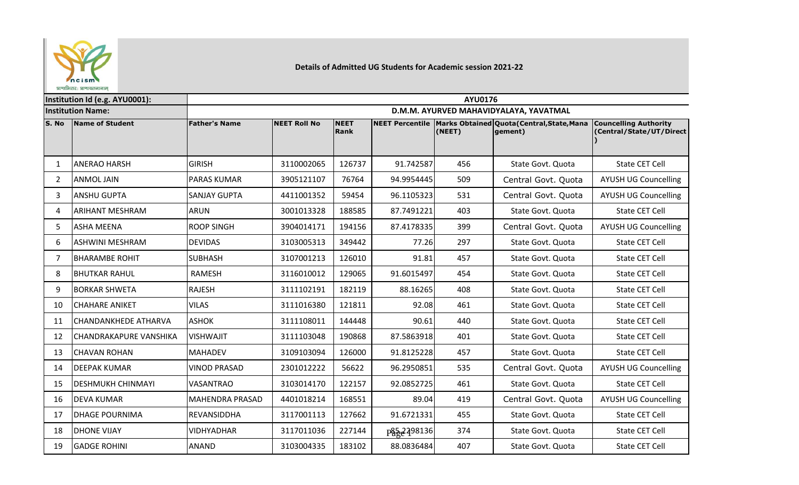

## **Details of Admitted UG Students for Academic session 2021-22**

**S. No Name of Student Father's Name NEET Roll No NEET Rank NEET Percentile Marks Obtained Quota(Central,State,Mana (NEET) gement) Councelling Authority (Central/State/UT/Direct )** 1 |ANERAO HARSH |GIRISH | 3110002065 | 126737 | 91.742587| 456 | State Govt. Quota | State CET Cell 2 ANMOL JAIN PARAS KUMAR 3905121107 76764 94.9954445 509 Central Govt. Quota AYUSH UG Councelling 3 |ANSHU GUPTA |SANJAY GUPTA | 4411001352 | 59454 | 96.1105323| 531 | Central Govt. Quota | AYUSH UG Councelling 4 |ARIHANT MESHRAM |ARUN | 3001013328 | 188585 | 87.7491221| 403 | State Govt. Quota | State CET Cell 5 ASHA MEENA ROOP SINGH 13904014171 | 194156 | 87.4178335 399 | Central Govt. Quota | AYUSH UG Councelling 6 |ASHWINI MESHRAM | DEVIDAS | 3103005313 | 349442 | 77.26| 297 | State Govt. Quota | State CET Cell 7 |BHARAMBE ROHIT |SUBHASH | 3107001213 | 126010 | 91.81 | 457 | State Govt. Quota | State CET Cell 8 |BHUTKAR RAHUL | RAMESH | 3116010012 | 129065 | 91.6015497| 454 | State Govt. Quota | State CET Cell 9 |BORKAR SHWETA |RAJESH | 3111102191 | 182119 | 88.16265| 408 | State Govt. Quota | State CET Cell 10 |CHAHARE ANIKET |VILAS | 3111016380 | 121811 | 92.08 | 461 | State Govt. Quota | State CET Cell 11 CHANDANKHEDE ATHARVA ASHOK | 3111108011 | 144448 | 90.61 440 | State Govt. Quota | State CET Cell 12 CHANDRAKAPURE VANSHIKA VISHWAJIT 3111103048 190868 87.5863918 401 State Govt. Quota State CET Cell 13 |CHAVAN ROHAN |MAHADEV | 3109103094 | 126000 | 91.8125228| 457 | State Govt. Quota | State CET Cell 14 DEEPAK KUMAR VINOD PRASAD 2301012222 56622 96.2950851 535 Central Govt. Quota AYUSH UG Councelling 15 DESHMUKH CHINMAYI VASANTRAO 3103014170 122157 92.0852725 461 State Govt. Quota State CET Cell 16 |DEVA KUMAR |MAHENDRA PRASAD | 4401018214 | 168551 | 89.04| 419 | Central Govt. Quota | AYUSH UG Councelling 17 |DHAGE POURNIMA |REVANSIDDHA | 3117001113 | 127662 | 91.6721331| 455 | State Govt. Quota | State CET Cell 18 |DHONE VIJAY |VIDHYADHAR | 3117011036 | 227144 | p§5.2298136 374 | State Govt. Quota | State CET Cell 19 GADGE ROHINI ANAND 3103004335 183102 88.0836484 407 State Govt. Quota State CET Cell **Institution Id (e.g. AYU0001): AYU0176 Institution Name: D.M.M. AYURVED MAHAVIDYALAYA, YAVATMAL** p<sub>a</sub>z<sub>2498136</sub>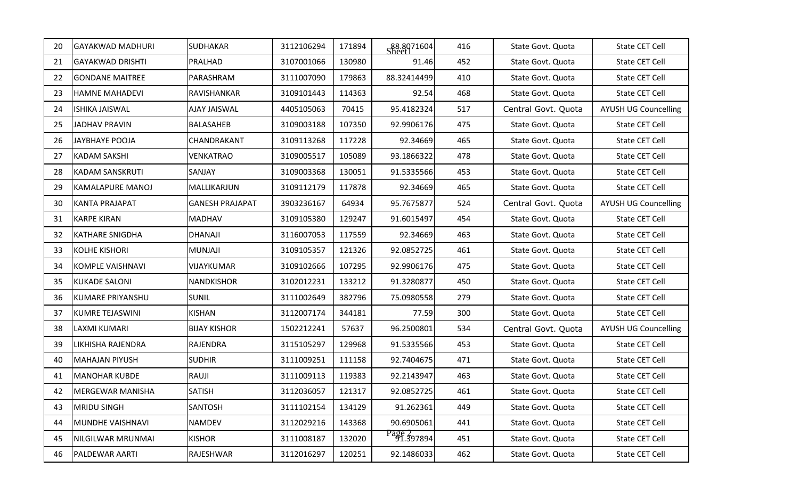| 20 | <b>GAYAKWAD MADHURI</b>  | <b>SUDHAKAR</b>        | 3112106294 | 171894 | S <sub>heat</sub> <sup>88.8071604</sup> | 416 | State Govt. Quota   | State CET Cell              |
|----|--------------------------|------------------------|------------|--------|-----------------------------------------|-----|---------------------|-----------------------------|
| 21 | <b>GAYAKWAD DRISHTI</b>  | PRALHAD                | 3107001066 | 130980 | 91.46                                   | 452 | State Govt. Quota   | State CET Cell              |
| 22 | <b>GONDANE MAITREE</b>   | PARASHRAM              | 3111007090 | 179863 | 88.32414499                             | 410 | State Govt. Quota   | State CET Cell              |
| 23 | <b>HAMNE MAHADEVI</b>    | RAVISHANKAR            | 3109101443 | 114363 | 92.54                                   | 468 | State Govt. Quota   | State CET Cell              |
| 24 | <b>ISHIKA JAISWAL</b>    | <b>AJAY JAISWAL</b>    | 4405105063 | 70415  | 95.4182324                              | 517 | Central Govt. Quota | <b>AYUSH UG Councelling</b> |
| 25 | <b>JADHAV PRAVIN</b>     | <b>BALASAHEB</b>       | 3109003188 | 107350 | 92.9906176                              | 475 | State Govt. Quota   | State CET Cell              |
| 26 | JAYBHAYE POOJA           | <b>CHANDRAKANT</b>     | 3109113268 | 117228 | 92.34669                                | 465 | State Govt. Quota   | State CET Cell              |
| 27 | <b>KADAM SAKSHI</b>      | VENKATRAO              | 3109005517 | 105089 | 93.1866322                              | 478 | State Govt. Quota   | State CET Cell              |
| 28 | <b>KADAM SANSKRUTI</b>   | <b>SANJAY</b>          | 3109003368 | 130051 | 91.5335566                              | 453 | State Govt. Quota   | State CET Cell              |
| 29 | <b>KAMALAPURE MANOJ</b>  | MALLIKARJUN            | 3109112179 | 117878 | 92.34669                                | 465 | State Govt. Quota   | State CET Cell              |
| 30 | <b>KANTA PRAJAPAT</b>    | <b>GANESH PRAJAPAT</b> | 3903236167 | 64934  | 95.7675877                              | 524 | Central Govt. Quota | <b>AYUSH UG Councelling</b> |
| 31 | <b>KARPE KIRAN</b>       | <b>MADHAV</b>          | 3109105380 | 129247 | 91.6015497                              | 454 | State Govt. Quota   | State CET Cell              |
| 32 | <b>KATHARE SNIGDHA</b>   | <b>DHANAJI</b>         | 3116007053 | 117559 | 92.34669                                | 463 | State Govt. Quota   | State CET Cell              |
| 33 | <b>KOLHE KISHORI</b>     | <b>MUNJAJI</b>         | 3109105357 | 121326 | 92.0852725                              | 461 | State Govt. Quota   | State CET Cell              |
| 34 | <b>KOMPLE VAISHNAVI</b>  | VIJAYKUMAR             | 3109102666 | 107295 | 92.9906176                              | 475 | State Govt. Quota   | State CET Cell              |
| 35 | <b>KUKADE SALONI</b>     | <b>NANDKISHOR</b>      | 3102012231 | 133212 | 91.3280877                              | 450 | State Govt. Quota   | State CET Cell              |
| 36 | <b>KUMARE PRIYANSHU</b>  | <b>SUNIL</b>           | 3111002649 | 382796 | 75.0980558                              | 279 | State Govt. Quota   | State CET Cell              |
| 37 | <b>KUMRE TEJASWINI</b>   | <b>KISHAN</b>          | 3112007174 | 344181 | 77.59                                   | 300 | State Govt. Quota   | State CET Cell              |
| 38 | LAXMI KUMARI             | <b>BIJAY KISHOR</b>    | 1502212241 | 57637  | 96.2500801                              | 534 | Central Govt. Quota | <b>AYUSH UG Councelling</b> |
| 39 | LIKHISHA RAJENDRA        | <b>RAJENDRA</b>        | 3115105297 | 129968 | 91.5335566                              | 453 | State Govt. Quota   | State CET Cell              |
| 40 | <b>MAHAJAN PIYUSH</b>    | <b>SUDHIR</b>          | 3111009251 | 111158 | 92.7404675                              | 471 | State Govt. Quota   | State CET Cell              |
| 41 | <b>MANOHAR KUBDE</b>     | RAUJI                  | 3111009113 | 119383 | 92.2143947                              | 463 | State Govt. Quota   | State CET Cell              |
| 42 | <b>IMERGEWAR MANISHA</b> | <b>SATISH</b>          | 3112036057 | 121317 | 92.0852725                              | 461 | State Govt. Quota   | State CET Cell              |
| 43 | <b>MRIDU SINGH</b>       | <b>SANTOSH</b>         | 3111102154 | 134129 | 91.262361                               | 449 | State Govt. Quota   | State CET Cell              |
| 44 | MUNDHE VAISHNAVI         | <b>NAMDEV</b>          | 3112029216 | 143368 | 90.6905061                              | 441 | State Govt. Quota   | State CET Cell              |
| 45 | NILGILWAR MRUNMAI        | <b>KISHOR</b>          | 3111008187 | 132020 | Page 2<br>91.397894                     | 451 | State Govt. Quota   | State CET Cell              |
| 46 | <b>PALDEWAR AARTI</b>    | RAJESHWAR              | 3112016297 | 120251 | 92.1486033                              | 462 | State Govt. Quota   | State CET Cell              |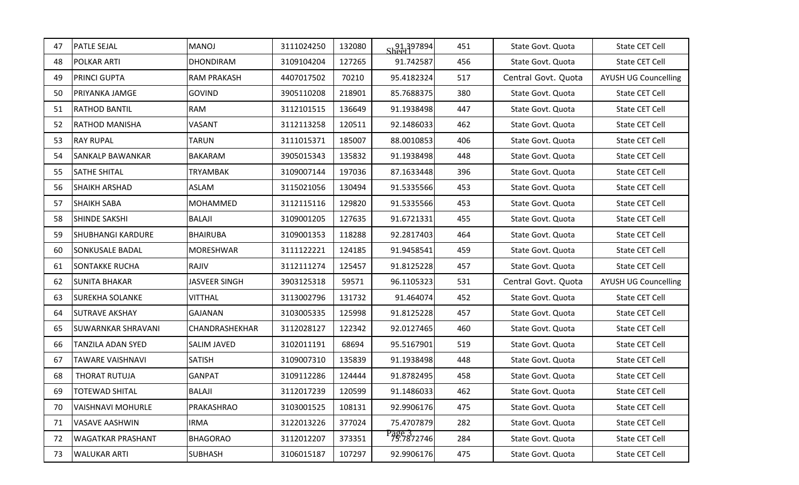| 47 | <b>PATLE SEJAL</b>        | <b>MANOJ</b>         | 3111024250 | 132080 | 91.397894            | 451 | State Govt. Quota   | State CET Cell              |
|----|---------------------------|----------------------|------------|--------|----------------------|-----|---------------------|-----------------------------|
| 48 | <b>POLKAR ARTI</b>        | <b>DHONDIRAM</b>     | 3109104204 | 127265 | 91.742587            | 456 | State Govt. Quota   | State CET Cell              |
| 49 | <b>PRINCI GUPTA</b>       | <b>RAM PRAKASH</b>   | 4407017502 | 70210  | 95.4182324           | 517 | Central Govt. Quota | <b>AYUSH UG Councelling</b> |
| 50 | <b>PRIYANKA JAMGE</b>     | <b>GOVIND</b>        | 3905110208 | 218901 | 85.7688375           | 380 | State Govt. Quota   | State CET Cell              |
| 51 | <b>RATHOD BANTIL</b>      | <b>RAM</b>           | 3112101515 | 136649 | 91.1938498           | 447 | State Govt. Quota   | State CET Cell              |
| 52 | <b>RATHOD MANISHA</b>     | <b>VASANT</b>        | 3112113258 | 120511 | 92.1486033           | 462 | State Govt. Quota   | State CET Cell              |
| 53 | <b>RAY RUPAL</b>          | <b>TARUN</b>         | 3111015371 | 185007 | 88.0010853           | 406 | State Govt. Quota   | State CET Cell              |
| 54 | <b>SANKALP BAWANKAR</b>   | <b>BAKARAM</b>       | 3905015343 | 135832 | 91.1938498           | 448 | State Govt. Quota   | State CET Cell              |
| 55 | <b>SATHE SHITAL</b>       | <b>TRYAMBAK</b>      | 3109007144 | 197036 | 87.1633448           | 396 | State Govt. Quota   | State CET Cell              |
| 56 | <b>SHAIKH ARSHAD</b>      | ASLAM                | 3115021056 | 130494 | 91.5335566           | 453 | State Govt. Quota   | State CET Cell              |
| 57 | <b>SHAIKH SABA</b>        | <b>MOHAMMED</b>      | 3112115116 | 129820 | 91.5335566           | 453 | State Govt. Quota   | State CET Cell              |
| 58 | <b>SHINDE SAKSHI</b>      | <b>BALAJI</b>        | 3109001205 | 127635 | 91.6721331           | 455 | State Govt. Quota   | State CET Cell              |
| 59 | <b>SHUBHANGI KARDURE</b>  | <b>BHAIRUBA</b>      | 3109001353 | 118288 | 92.2817403           | 464 | State Govt. Quota   | State CET Cell              |
| 60 | <b>SONKUSALE BADAL</b>    | <b>MORESHWAR</b>     | 3111122221 | 124185 | 91.9458541           | 459 | State Govt. Quota   | State CET Cell              |
| 61 | <b>SONTAKKE RUCHA</b>     | RAJIV                | 3112111274 | 125457 | 91.8125228           | 457 | State Govt. Quota   | State CET Cell              |
| 62 | <b>SUNITA BHAKAR</b>      | <b>JASVEER SINGH</b> | 3903125318 | 59571  | 96.1105323           | 531 | Central Govt. Quota | <b>AYUSH UG Councelling</b> |
| 63 | <b>SUREKHA SOLANKE</b>    | <b>VITTHAL</b>       | 3113002796 | 131732 | 91.464074            | 452 | State Govt. Quota   | State CET Cell              |
| 64 | <b>SUTRAVE AKSHAY</b>     | <b>GAJANAN</b>       | 3103005335 | 125998 | 91.8125228           | 457 | State Govt. Quota   | State CET Cell              |
| 65 | <b>SUWARNKAR SHRAVANI</b> | CHANDRASHEKHAR       | 3112028127 | 122342 | 92.0127465           | 460 | State Govt. Quota   | State CET Cell              |
| 66 | <b>TANZILA ADAN SYED</b>  | SALIM JAVED          | 3102011191 | 68694  | 95.5167901           | 519 | State Govt. Quota   | State CET Cell              |
| 67 | TAWARE VAISHNAVI          | <b>SATISH</b>        | 3109007310 | 135839 | 91.1938498           | 448 | State Govt. Quota   | State CET Cell              |
| 68 | <b>THORAT RUTUJA</b>      | <b>GANPAT</b>        | 3109112286 | 124444 | 91.8782495           | 458 | State Govt. Quota   | State CET Cell              |
| 69 | <b>TOTEWAD SHITAL</b>     | <b>BALAJI</b>        | 3112017239 | 120599 | 91.1486033           | 462 | State Govt. Quota   | State CET Cell              |
| 70 | <b>VAISHNAVI MOHURLE</b>  | PRAKASHRAO           | 3103001525 | 108131 | 92.9906176           | 475 | State Govt. Quota   | State CET Cell              |
| 71 | <b>VASAVE AASHWIN</b>     | <b>IRMA</b>          | 3122013226 | 377024 | 75.4707879           | 282 | State Govt. Quota   | State CET Cell              |
| 72 | <b>WAGATKAR PRASHANT</b>  | <b>BHAGORAO</b>      | 3112012207 | 373351 | Page 3<br>75.7872746 | 284 | State Govt. Quota   | State CET Cell              |
| 73 | <b>WALUKAR ARTI</b>       | <b>SUBHASH</b>       | 3106015187 | 107297 | 92.9906176           | 475 | State Govt. Quota   | State CET Cell              |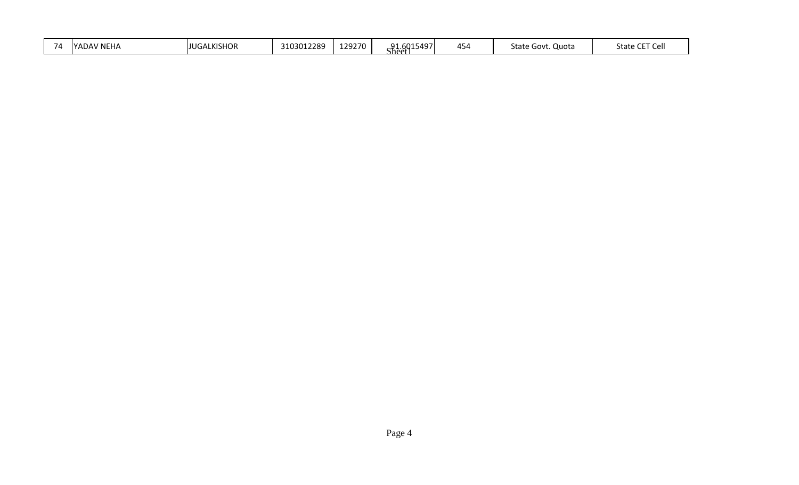| $\overline{\phantom{a}}$<br>.<br>771<br>YAL | <b>NE</b><br>ᇊ<br>$\overline{\phantom{0}}$ | ALKISHOP<br>LIUGA | $^{\circ}12289$ | 1 วิกวิริก<br>, u<br>ノハレ | 5497<br><b>Q1</b><br>$\sim$ $\sim$<br>.<br>' heet | .<br>45. | state<br>Quota<br>Govt | $\sim$ $\sim$ $\sim$ $\sim$<br>State<br><b>Cel</b><br>╰ |
|---------------------------------------------|--------------------------------------------|-------------------|-----------------|--------------------------|---------------------------------------------------|----------|------------------------|---------------------------------------------------------|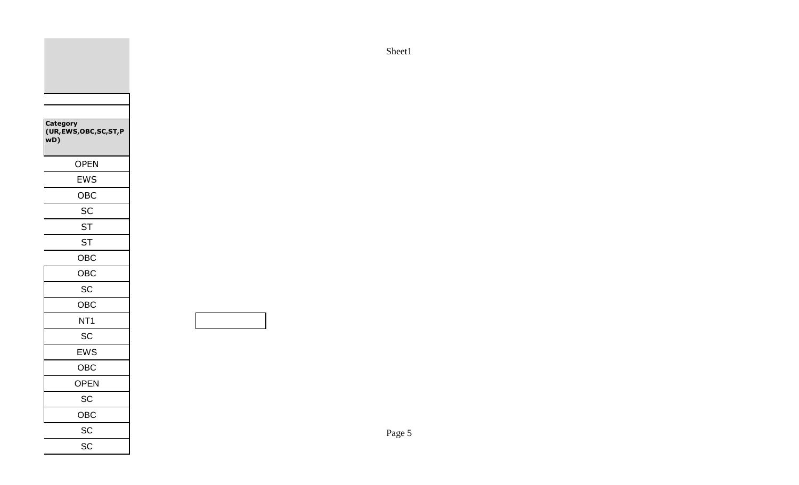| Category<br>(UR, EWS, OBC, SC, ST, P<br>wD) |
|---------------------------------------------|
| <b>OPEN</b>                                 |
| <b>EWS</b>                                  |
| OBC                                         |
| <b>SC</b>                                   |
| <b>ST</b>                                   |
| <b>ST</b>                                   |
| <b>OBC</b>                                  |
| <b>OBC</b>                                  |
| SC                                          |
| <b>OBC</b>                                  |
| NT <sub>1</sub>                             |
| SC                                          |
| <b>EWS</b>                                  |
| <b>OBC</b>                                  |
| <b>OPEN</b>                                 |
| SC                                          |
| OBC                                         |
| SC                                          |
| SC                                          |
|                                             |

Sheet1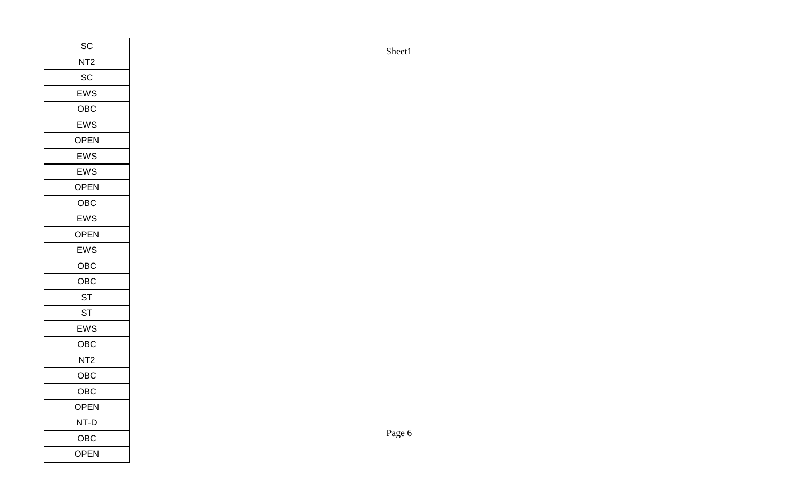| $\sf SC$        |
|-----------------|
| NT <sub>2</sub> |
| SC              |
| EWS             |
| OBC             |
| EWS             |
| OPEN            |
| EWS             |
| EWS             |
| OPEN            |
| OBC             |
| EWS             |
| OPEN            |
| EWS             |
| ${\sf OBC}$     |
| OBC             |
| <b>ST</b>       |
| <b>ST</b>       |
| EWS             |
| OBC             |
| NT <sub>2</sub> |
| OBC             |
| OBC             |
| OPEN            |
| $NT-D$          |
| ${\sf OBC}$     |
| <b>OPEN</b>     |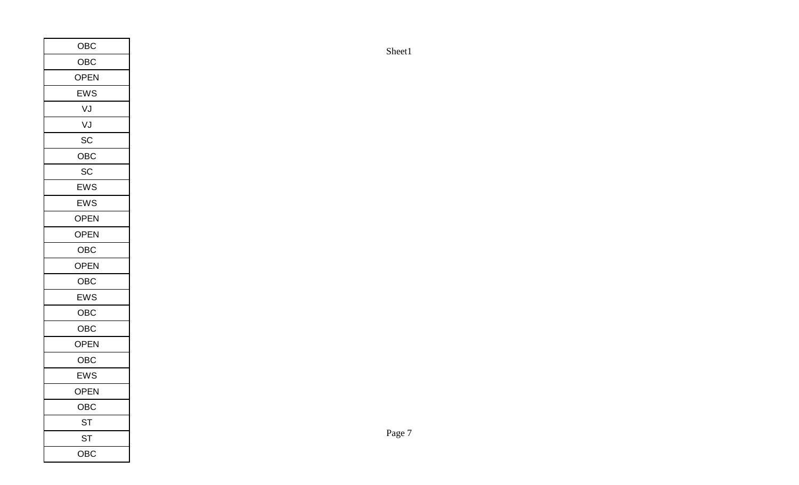| ${\sf OBC}$ |        |        |
|-------------|--------|--------|
| ${\sf OBC}$ |        | Sheet1 |
| OPEN        |        |        |
| EWS         |        |        |
| VJ          |        |        |
| VJ          |        |        |
| $\sf SC$    |        |        |
| OBC         |        |        |
| SC          |        |        |
| EWS         |        |        |
| EWS         |        |        |
| OPEN        |        |        |
| OPEN        |        |        |
| ${\sf OBC}$ |        |        |
| OPEN        |        |        |
| ${\sf OBC}$ |        |        |
| EWS         |        |        |
| ${\sf OBC}$ |        |        |
| ${\sf OBC}$ |        |        |
| OPEN        |        |        |
| ${\sf OBC}$ |        |        |
| EWS         |        |        |
| OPEN        |        |        |
| ${\sf OBC}$ |        |        |
| <b>ST</b>   |        |        |
| <b>ST</b>   | Page 7 |        |
| OBC         |        |        |